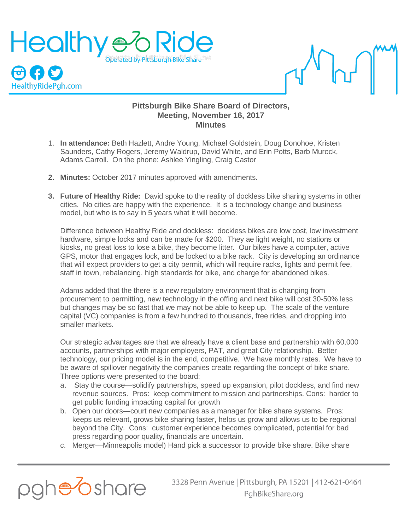



## **Pittsburgh Bike Share Board of Directors, Meeting, November 16, 2017 Minutes**

- 1. **In attendance:** Beth Hazlett, Andre Young, Michael Goldstein, Doug Donohoe, Kristen Saunders, Cathy Rogers, Jeremy Waldrup, David White, and Erin Potts, Barb Murock, Adams Carroll. On the phone: Ashlee Yingling, Craig Castor
- **2. Minutes:** October 2017 minutes approved with amendments.
- **3. Future of Healthy Ride:** David spoke to the reality of dockless bike sharing systems in other cities. No cities are happy with the experience. It is a technology change and business model, but who is to say in 5 years what it will become.

Difference between Healthy Ride and dockless: dockless bikes are low cost, low investment hardware, simple locks and can be made for \$200. They ae light weight, no stations or kiosks, no great loss to lose a bike, they become litter. Our bikes have a computer, active GPS, motor that engages lock, and be locked to a bike rack. City is developing an ordinance that will expect providers to get a city permit, which will require racks, lights and permit fee, staff in town, rebalancing, high standards for bike, and charge for abandoned bikes.

Adams added that the there is a new regulatory environment that is changing from procurement to permitting, new technology in the offing and next bike will cost 30-50% less but changes may be so fast that we may not be able to keep up. The scale of the venture capital (VC) companies is from a few hundred to thousands, free rides, and dropping into smaller markets.

Our strategic advantages are that we already have a client base and partnership with 60,000 accounts, partnerships with major employers, PAT, and great City relationship. Better technology, our pricing model is in the end, competitive. We have monthly rates. We have to be aware of spillover negativity the companies create regarding the concept of bike share. Three options were presented to the board:

- a. Stay the course—solidify partnerships, speed up expansion, pilot dockless, and find new revenue sources. Pros: keep commitment to mission and partnerships. Cons: harder to get public funding impacting capital for growth
- b. Open our doors—court new companies as a manager for bike share systems. Pros: keeps us relevant, grows bike sharing faster, helps us grow and allows us to be regional beyond the City. Cons: customer experience becomes complicated, potential for bad press regarding poor quality, financials are uncertain.
- c. Merger—Minneapolis model) Hand pick a successor to provide bike share. Bike share

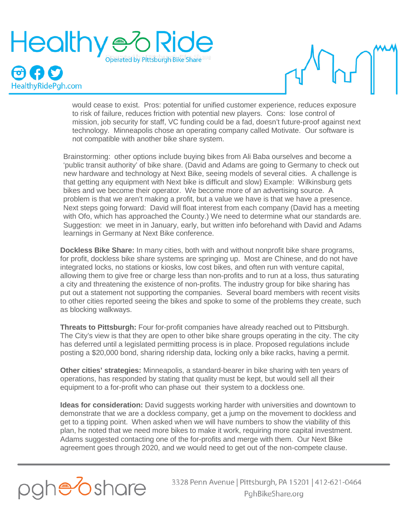



would cease to exist. Pros: potential for unified customer experience, reduces exposure to risk of failure, reduces friction with potential new players. Cons: lose control of mission, job security for staff, VC funding could be a fad, doesn't future-proof against next technology. Minneapolis chose an operating company called Motivate. Our software is not compatible with another bike share system.

Brainstorming: other options include buying bikes from Ali Baba ourselves and become a 'public transit authority' of bike share. (David and Adams are going to Germany to check out new hardware and technology at Next Bike, seeing models of several cities. A challenge is that getting any equipment with Next bike is difficult and slow) Example: Wilkinsburg gets bikes and we become their operator. We become more of an advertising source. A problem is that we aren't making a profit, but a value we have is that we have a presence. Next steps going forward: David will float interest from each company (David has a meeting with Ofo, which has approached the County.) We need to determine what our standards are. Suggestion: we meet in in January, early, but written info beforehand with David and Adams learnings in Germany at Next Bike conference.

**Dockless Bike Share:** In many cities, both with and without nonprofit bike share programs, for profit, dockless bike share systems are springing up. Most are Chinese, and do not have integrated locks, no stations or kiosks, low cost bikes, and often run with venture capital, allowing them to give free or charge less than non-profits and to run at a loss, thus saturating a city and threatening the existence of non-profits. The industry group for bike sharing has put out a statement not supporting the companies. Several board members with recent visits to other cities reported seeing the bikes and spoke to some of the problems they create, such as blocking walkways.

**Threats to Pittsburgh:** Four for-profit companies have already reached out to Pittsburgh. The City's view is that they are open to other bike share groups operating in the city. The city has deferred until a legislated permitting process is in place. Proposed regulations include posting a \$20,000 bond, sharing ridership data, locking only a bike racks, having a permit.

**Other cities' strategies:** Minneapolis, a standard-bearer in bike sharing with ten years of operations, has responded by stating that quality must be kept, but would sell all their equipment to a for-profit who can phase out their system to a dockless one.

**Ideas for consideration:** David suggests working harder with universities and downtown to demonstrate that we are a dockless company, get a jump on the movement to dockless and get to a tipping point. When asked when we will have numbers to show the viability of this plan, he noted that we need more bikes to make it work, requiring more capital investment. Adams suggested contacting one of the for-profits and merge with them. Our Next Bike agreement goes through 2020, and we would need to get out of the non-compete clause.



3328 Penn Avenue | Pittsburgh, PA 15201 | 412-621-0464 PghBikeShare.org